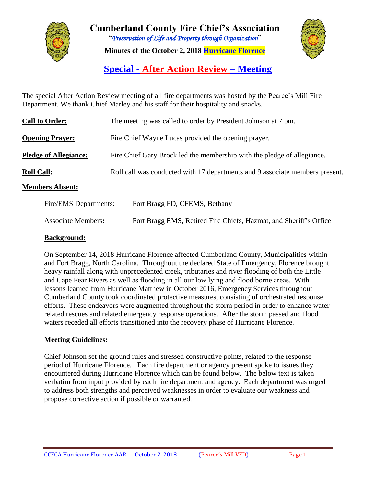

**Cumberland County Fire Chief's Association "***Preservation of Life and Property through Organization***" Minutes of the October 2, 2018 Hurricane Florence**



**Special - After Action Review – Meeting**

The special After Action Review meeting of all fire departments was hosted by the Pearce's Mill Fire Department. We thank Chief Marley and his staff for their hospitality and snacks.

| <b>Call to Order:</b>        | The meeting was called to order by President Johnson at 7 pm.                |
|------------------------------|------------------------------------------------------------------------------|
| <b>Opening Prayer:</b>       | Fire Chief Wayne Lucas provided the opening prayer.                          |
| <b>Pledge of Allegiance:</b> | Fire Chief Gary Brock led the membership with the pledge of allegiance.      |
| <b>Roll Call:</b>            | Roll call was conducted with 17 departments and 9 associate members present. |
| <b>Members Absent:</b>       |                                                                              |
| Fire/EMS Departments:        | Fort Bragg FD, CFEMS, Bethany                                                |

|                           | ---                                                               |
|---------------------------|-------------------------------------------------------------------|
|                           |                                                                   |
| <b>Associate Members:</b> | Fort Bragg EMS, Retired Fire Chiefs, Hazmat, and Sheriff's Office |

### **Background:**

On September 14, 2018 Hurricane Florence affected Cumberland County, Municipalities within and Fort Bragg, North Carolina. Throughout the declared State of Emergency, Florence brought heavy rainfall along with unprecedented creek, tributaries and river flooding of both the Little and Cape Fear Rivers as well as flooding in all our low lying and flood borne areas. With lessons learned from Hurricane Matthew in October 2016, Emergency Services throughout Cumberland County took coordinated protective measures, consisting of orchestrated response efforts. These endeavors were augmented throughout the storm period in order to enhance water related rescues and related emergency response operations. After the storm passed and flood waters receded all efforts transitioned into the recovery phase of Hurricane Florence.

### **Meeting Guidelines:**

Chief Johnson set the ground rules and stressed constructive points, related to the response period of Hurricane Florence. Each fire department or agency present spoke to issues they encountered during Hurricane Florence which can be found below. The below text is taken verbatim from input provided by each fire department and agency. Each department was urged to address both strengths and perceived weaknesses in order to evaluate our weakness and propose corrective action if possible or warranted.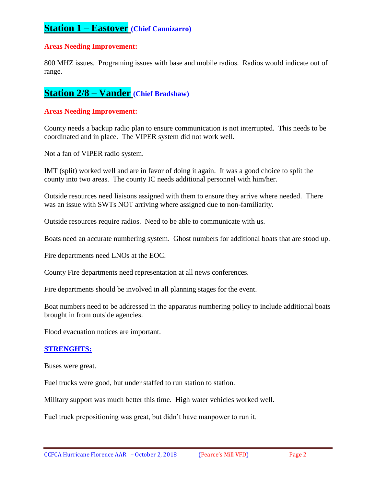### **Station 1 – Eastover (Chief Cannizarro)**

#### **Areas Needing Improvement:**

800 MHZ issues. Programing issues with base and mobile radios. Radios would indicate out of range.

### **Station 2/8 – Vander (Chief Bradshaw)**

#### **Areas Needing Improvement:**

County needs a backup radio plan to ensure communication is not interrupted. This needs to be coordinated and in place. The VIPER system did not work well.

Not a fan of VIPER radio system.

IMT (split) worked well and are in favor of doing it again. It was a good choice to split the county into two areas. The county IC needs additional personnel with him/her.

Outside resources need liaisons assigned with them to ensure they arrive where needed. There was an issue with SWTs NOT arriving where assigned due to non-familiarity.

Outside resources require radios. Need to be able to communicate with us.

Boats need an accurate numbering system. Ghost numbers for additional boats that are stood up.

Fire departments need LNOs at the EOC.

County Fire departments need representation at all news conferences.

Fire departments should be involved in all planning stages for the event.

Boat numbers need to be addressed in the apparatus numbering policy to include additional boats brought in from outside agencies.

Flood evacuation notices are important.

#### **STRENGHTS:**

Buses were great.

Fuel trucks were good, but under staffed to run station to station.

Military support was much better this time. High water vehicles worked well.

Fuel truck prepositioning was great, but didn't have manpower to run it.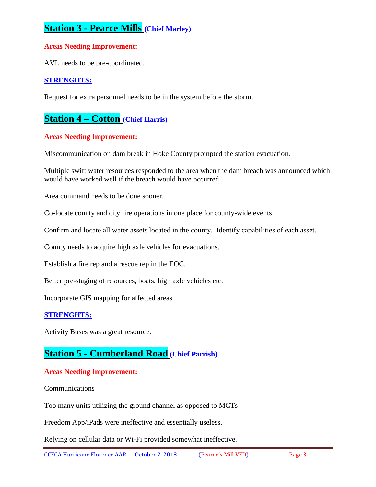# **Station 3 - Pearce Mills (Chief Marley)**

### **Areas Needing Improvement:**

AVL needs to be pre-coordinated.

### **STRENGHTS:**

Request for extra personnel needs to be in the system before the storm.

## **Station 4 – Cotton (Chief Harris)**

#### **Areas Needing Improvement:**

Miscommunication on dam break in Hoke County prompted the station evacuation.

Multiple swift water resources responded to the area when the dam breach was announced which would have worked well if the breach would have occurred.

Area command needs to be done sooner.

Co-locate county and city fire operations in one place for county-wide events

Confirm and locate all water assets located in the county. Identify capabilities of each asset.

County needs to acquire high axle vehicles for evacuations.

Establish a fire rep and a rescue rep in the EOC.

Better pre-staging of resources, boats, high axle vehicles etc.

Incorporate GIS mapping for affected areas.

#### **STRENGHTS:**

Activity Buses was a great resource.

### **Station 5 - Cumberland Road (Chief Parrish)**

#### **Areas Needing Improvement:**

Communications

Too many units utilizing the ground channel as opposed to MCTs

Freedom App/iPads were ineffective and essentially useless.

Relying on cellular data or Wi-Fi provided somewhat ineffective.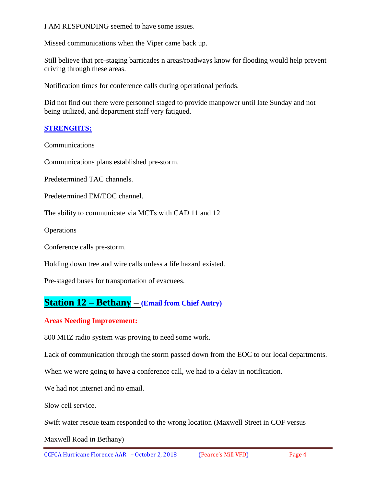I AM RESPONDING seemed to have some issues.

Missed communications when the Viper came back up.

Still believe that pre-staging barricades n areas/roadways know for flooding would help prevent driving through these areas.

Notification times for conference calls during operational periods.

Did not find out there were personnel staged to provide manpower until late Sunday and not being utilized, and department staff very fatigued.

### **STRENGHTS:**

**Communications** 

Communications plans established pre-storm.

Predetermined TAC channels.

Predetermined EM/EOC channel.

The ability to communicate via MCTs with CAD 11 and 12

**Operations** 

Conference calls pre-storm.

Holding down tree and wire calls unless a life hazard existed.

Pre-staged buses for transportation of evacuees.

### **Station 12 – Bethany – (Email from Chief Autry)**

### **Areas Needing Improvement:**

800 MHZ radio system was proving to need some work.

Lack of communication through the storm passed down from the EOC to our local departments.

When we were going to have a conference call, we had to a delay in notification.

We had not internet and no email.

Slow cell service.

Swift water rescue team responded to the wrong location (Maxwell Street in COF versus

Maxwell Road in Bethany)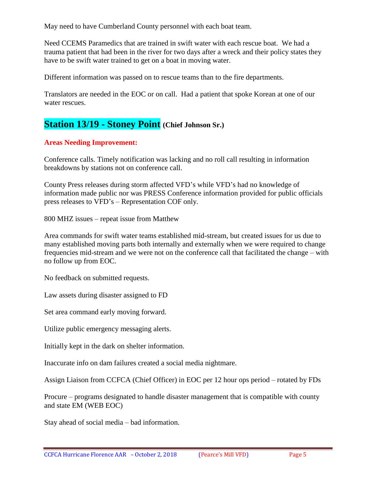May need to have Cumberland County personnel with each boat team.

Need CCEMS Paramedics that are trained in swift water with each rescue boat. We had a trauma patient that had been in the river for two days after a wreck and their policy states they have to be swift water trained to get on a boat in moving water.

Different information was passed on to rescue teams than to the fire departments.

Translators are needed in the EOC or on call. Had a patient that spoke Korean at one of our water rescues.

## **Station 13/19 - Stoney Point (Chief Johnson Sr.)**

### **Areas Needing Improvement:**

Conference calls. Timely notification was lacking and no roll call resulting in information breakdowns by stations not on conference call.

County Press releases during storm affected VFD's while VFD's had no knowledge of information made public nor was PRESS Conference information provided for public officials press releases to VFD's – Representation COF only.

800 MHZ issues – repeat issue from Matthew

Area commands for swift water teams established mid-stream, but created issues for us due to many established moving parts both internally and externally when we were required to change frequencies mid-stream and we were not on the conference call that facilitated the change – with no follow up from EOC.

No feedback on submitted requests.

Law assets during disaster assigned to FD

Set area command early moving forward.

Utilize public emergency messaging alerts.

Initially kept in the dark on shelter information.

Inaccurate info on dam failures created a social media nightmare.

Assign Liaison from CCFCA (Chief Officer) in EOC per 12 hour ops period – rotated by FDs

Procure – programs designated to handle disaster management that is compatible with county and state EM (WEB EOC)

Stay ahead of social media – bad information.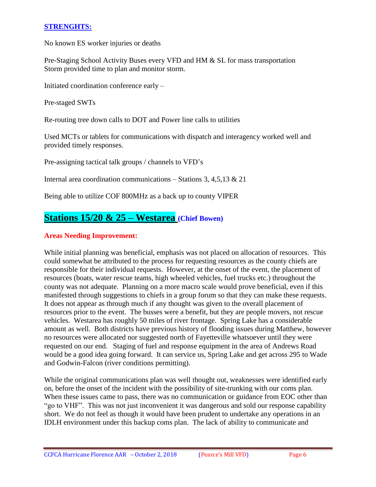### **STRENGHTS:**

No known ES worker injuries or deaths

Pre-Staging School Activity Buses every VFD and HM & SL for mass transportation Storm provided time to plan and monitor storm.

Initiated coordination conference early –

Pre-staged SWTs

Re-routing tree down calls to DOT and Power line calls to utilities

Used MCTs or tablets for communications with dispatch and interagency worked well and provided timely responses.

Pre-assigning tactical talk groups / channels to VFD's

Internal area coordination communications – Stations 3, 4,5,13 & 21

Being able to utilize COF 800MHz as a back up to county VIPER

### **Stations 15/20 & 25 – Westarea (Chief Bowen)**

### **Areas Needing Improvement:**

While initial planning was beneficial, emphasis was not placed on allocation of resources. This could somewhat be attributed to the process for requesting resources as the county chiefs are responsible for their individual requests. However, at the onset of the event, the placement of resources (boats, water rescue teams, high wheeled vehicles, fuel trucks etc.) throughout the county was not adequate. Planning on a more macro scale would prove beneficial, even if this manifested through suggestions to chiefs in a group forum so that they can make these requests. It does not appear as through much if any thought was given to the overall placement of resources prior to the event. The busses were a benefit, but they are people movers, not rescue vehicles. Westarea has roughly 50 miles of river frontage. Spring Lake has a considerable amount as well. Both districts have previous history of flooding issues during Matthew, however no resources were allocated nor suggested north of Fayetteville whatsoever until they were requested on our end. Staging of fuel and response equipment in the area of Andrews Road would be a good idea going forward. It can service us, Spring Lake and get across 295 to Wade and Godwin-Falcon (river conditions permitting).

While the original communications plan was well thought out, weaknesses were identified early on, before the onset of the incident with the possibility of site-trunking with our coms plan. When these issues came to pass, there was no communication or guidance from EOC other than "go to VHF". This was not just inconvenient it was dangerous and sold our response capability short. We do not feel as though it would have been prudent to undertake any operations in an IDLH environment under this backup coms plan. The lack of ability to communicate and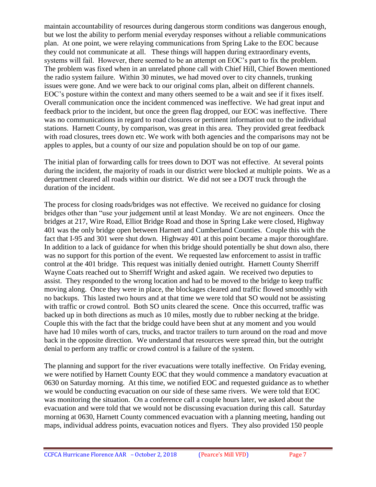maintain accountability of resources during dangerous storm conditions was dangerous enough, but we lost the ability to perform menial everyday responses without a reliable communications plan. At one point, we were relaying communications from Spring Lake to the EOC because they could not communicate at all. These things will happen during extraordinary events, systems will fail. However, there seemed to be an attempt on EOC's part to fix the problem. The problem was fixed when in an unrelated phone call with Chief Hill, Chief Bowen mentioned the radio system failure. Within 30 minutes, we had moved over to city channels, trunking issues were gone. And we were back to our original coms plan, albeit on different channels. EOC's posture within the context and many others seemed to be a wait and see if it fixes itself. Overall communication once the incident commenced was ineffective. We had great input and feedback prior to the incident, but once the green flag dropped, our EOC was ineffective. There was no communications in regard to road closures or pertinent information out to the individual stations. Harnett County, by comparison, was great in this area. They provided great feedback with road closures, trees down etc. We work with both agencies and the comparisons may not be apples to apples, but a county of our size and population should be on top of our game.

The initial plan of forwarding calls for trees down to DOT was not effective. At several points during the incident, the majority of roads in our district were blocked at multiple points. We as a department cleared all roads within our district. We did not see a DOT truck through the duration of the incident.

The process for closing roads/bridges was not effective. We received no guidance for closing bridges other than "use your judgement until at least Monday. We are not engineers. Once the bridges at 217, Wire Road, Elliot Bridge Road and those in Spring Lake were closed, Highway 401 was the only bridge open between Harnett and Cumberland Counties. Couple this with the fact that I-95 and 301 were shut down. Highway 401 at this point became a major thoroughfare. In addition to a lack of guidance for when this bridge should potentially be shut down also, there was no support for this portion of the event. We requested law enforcement to assist in traffic control at the 401 bridge. This request was initially denied outright. Harnett County Sherriff Wayne Coats reached out to Sherriff Wright and asked again. We received two deputies to assist. They responded to the wrong location and had to be moved to the bridge to keep traffic moving along. Once they were in place, the blockages cleared and traffic flowed smoothly with no backups. This lasted two hours and at that time we were told that SO would not be assisting with traffic or crowd control. Both SO units cleared the scene. Once this occurred, traffic was backed up in both directions as much as 10 miles, mostly due to rubber necking at the bridge. Couple this with the fact that the bridge could have been shut at any moment and you would have had 10 miles worth of cars, trucks, and tractor trailers to turn around on the road and move back in the opposite direction. We understand that resources were spread thin, but the outright denial to perform any traffic or crowd control is a failure of the system.

The planning and support for the river evacuations were totally ineffective. On Friday evening, we were notified by Harnett County EOC that they would commence a mandatory evacuation at 0630 on Saturday morning. At this time, we notified EOC and requested guidance as to whether we would be conducting evacuation on our side of these same rivers. We were told that EOC was monitoring the situation. On a conference call a couple hours later, we asked about the evacuation and were told that we would not be discussing evacuation during this call. Saturday morning at 0630, Harnett County commenced evacuation with a planning meeting, handing out maps, individual address points, evacuation notices and flyers. They also provided 150 people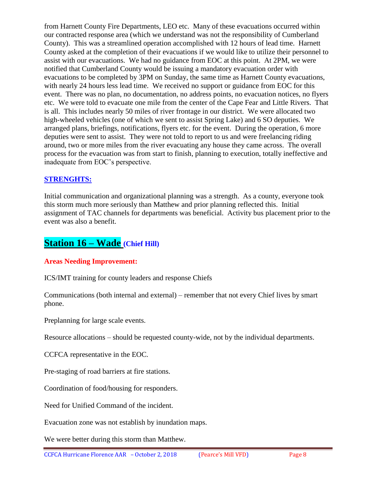from Harnett County Fire Departments, LEO etc. Many of these evacuations occurred within our contracted response area (which we understand was not the responsibility of Cumberland County). This was a streamlined operation accomplished with 12 hours of lead time. Harnett County asked at the completion of their evacuations if we would like to utilize their personnel to assist with our evacuations. We had no guidance from EOC at this point. At 2PM, we were notified that Cumberland County would be issuing a mandatory evacuation order with evacuations to be completed by 3PM on Sunday, the same time as Harnett County evacuations, with nearly 24 hours less lead time. We received no support or guidance from EOC for this event. There was no plan, no documentation, no address points, no evacuation notices, no flyers etc. We were told to evacuate one mile from the center of the Cape Fear and Little Rivers. That is all. This includes nearly 50 miles of river frontage in our district. We were allocated two high-wheeled vehicles (one of which we sent to assist Spring Lake) and 6 SO deputies. We arranged plans, briefings, notifications, flyers etc. for the event. During the operation, 6 more deputies were sent to assist. They were not told to report to us and were freelancing riding around, two or more miles from the river evacuating any house they came across. The overall process for the evacuation was from start to finish, planning to execution, totally ineffective and inadequate from EOC's perspective.

### **STRENGHTS:**

Initial communication and organizational planning was a strength. As a county, everyone took this storm much more seriously than Matthew and prior planning reflected this. Initial assignment of TAC channels for departments was beneficial. Activity bus placement prior to the event was also a benefit.

# **Station 16 – Wade (Chief Hill)**

### **Areas Needing Improvement:**

ICS/IMT training for county leaders and response Chiefs

Communications (both internal and external) – remember that not every Chief lives by smart phone.

Preplanning for large scale events.

Resource allocations – should be requested county-wide, not by the individual departments.

CCFCA representative in the EOC.

Pre-staging of road barriers at fire stations.

Coordination of food/housing for responders.

Need for Unified Command of the incident.

Evacuation zone was not establish by inundation maps.

We were better during this storm than Matthew.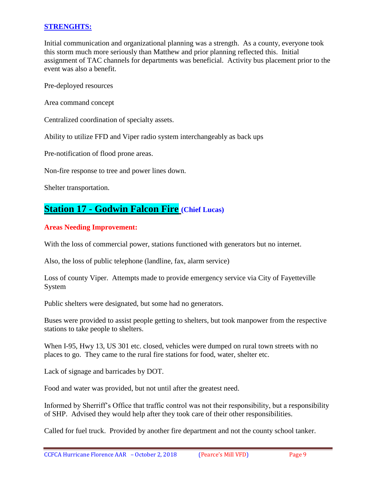### **STRENGHTS:**

Initial communication and organizational planning was a strength. As a county, everyone took this storm much more seriously than Matthew and prior planning reflected this. Initial assignment of TAC channels for departments was beneficial. Activity bus placement prior to the event was also a benefit.

Pre-deployed resources

Area command concept

Centralized coordination of specialty assets.

Ability to utilize FFD and Viper radio system interchangeably as back ups

Pre-notification of flood prone areas.

Non-fire response to tree and power lines down.

Shelter transportation.

## **Station 17 - Godwin Falcon Fire (Chief Lucas)**

### **Areas Needing Improvement:**

With the loss of commercial power, stations functioned with generators but no internet.

Also, the loss of public telephone (landline, fax, alarm service)

Loss of county Viper. Attempts made to provide emergency service via City of Fayetteville System

Public shelters were designated, but some had no generators.

Buses were provided to assist people getting to shelters, but took manpower from the respective stations to take people to shelters.

When I-95, Hwy 13, US 301 etc. closed, vehicles were dumped on rural town streets with no places to go. They came to the rural fire stations for food, water, shelter etc.

Lack of signage and barricades by DOT.

Food and water was provided, but not until after the greatest need.

Informed by Sherriff's Office that traffic control was not their responsibility, but a responsibility of SHP. Advised they would help after they took care of their other responsibilities.

Called for fuel truck. Provided by another fire department and not the county school tanker.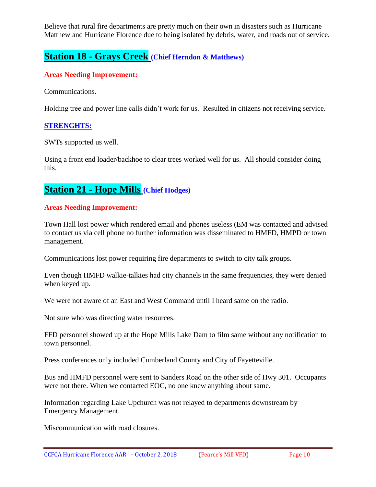Believe that rural fire departments are pretty much on their own in disasters such as Hurricane Matthew and Hurricane Florence due to being isolated by debris, water, and roads out of service.

### **Station 18 - Grays Creek (Chief Herndon & Matthews)**

### **Areas Needing Improvement:**

Communications.

Holding tree and power line calls didn't work for us. Resulted in citizens not receiving service.

### **STRENGHTS:**

SWTs supported us well.

Using a front end loader/backhoe to clear trees worked well for us. All should consider doing this.

## **Station 21 - Hope Mills (Chief Hodges)**

### **Areas Needing Improvement:**

Town Hall lost power which rendered email and phones useless (EM was contacted and advised to contact us via cell phone no further information was disseminated to HMFD, HMPD or town management.

Communications lost power requiring fire departments to switch to city talk groups.

Even though HMFD walkie-talkies had city channels in the same frequencies, they were denied when keyed up.

We were not aware of an East and West Command until I heard same on the radio.

Not sure who was directing water resources.

FFD personnel showed up at the Hope Mills Lake Dam to film same without any notification to town personnel.

Press conferences only included Cumberland County and City of Fayetteville.

Bus and HMFD personnel were sent to Sanders Road on the other side of Hwy 301. Occupants were not there. When we contacted EOC, no one knew anything about same.

Information regarding Lake Upchurch was not relayed to departments downstream by Emergency Management.

Miscommunication with road closures.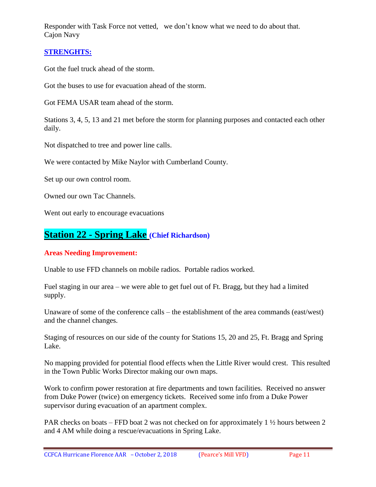Responder with Task Force not vetted, we don't know what we need to do about that. Cajon Navy

### **STRENGHTS:**

Got the fuel truck ahead of the storm.

Got the buses to use for evacuation ahead of the storm.

Got FEMA USAR team ahead of the storm.

Stations 3, 4, 5, 13 and 21 met before the storm for planning purposes and contacted each other daily.

Not dispatched to tree and power line calls.

We were contacted by Mike Naylor with Cumberland County.

Set up our own control room.

Owned our own Tac Channels.

Went out early to encourage evacuations

### **Station 22 - Spring Lake (Chief Richardson)**

### **Areas Needing Improvement:**

Unable to use FFD channels on mobile radios. Portable radios worked.

Fuel staging in our area – we were able to get fuel out of Ft. Bragg, but they had a limited supply.

Unaware of some of the conference calls – the establishment of the area commands (east/west) and the channel changes.

Staging of resources on our side of the county for Stations 15, 20 and 25, Ft. Bragg and Spring Lake.

No mapping provided for potential flood effects when the Little River would crest. This resulted in the Town Public Works Director making our own maps.

Work to confirm power restoration at fire departments and town facilities. Received no answer from Duke Power (twice) on emergency tickets. Received some info from a Duke Power supervisor during evacuation of an apartment complex.

PAR checks on boats – FFD boat 2 was not checked on for approximately 1  $\frac{1}{2}$  hours between 2 and 4 AM while doing a rescue/evacuations in Spring Lake.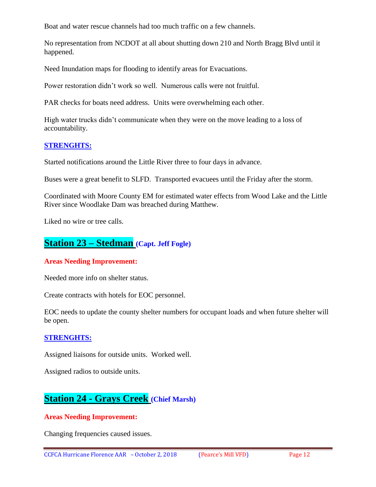Boat and water rescue channels had too much traffic on a few channels.

No representation from NCDOT at all about shutting down 210 and North Bragg Blvd until it happened.

Need Inundation maps for flooding to identify areas for Evacuations.

Power restoration didn't work so well. Numerous calls were not fruitful.

PAR checks for boats need address. Units were overwhelming each other.

High water trucks didn't communicate when they were on the move leading to a loss of accountability.

### **STRENGHTS:**

Started notifications around the Little River three to four days in advance.

Buses were a great benefit to SLFD. Transported evacuees until the Friday after the storm.

Coordinated with Moore County EM for estimated water effects from Wood Lake and the Little River since Woodlake Dam was breached during Matthew.

Liked no wire or tree calls.

### **Station 23 – Stedman (Capt. Jeff Fogle)**

#### **Areas Needing Improvement:**

Needed more info on shelter status.

Create contracts with hotels for EOC personnel.

EOC needs to update the county shelter numbers for occupant loads and when future shelter will be open.

#### **STRENGHTS:**

Assigned liaisons for outside units. Worked well.

Assigned radios to outside units.

# **Station 24 - Grays Creek (Chief Marsh)**

#### **Areas Needing Improvement:**

Changing frequencies caused issues.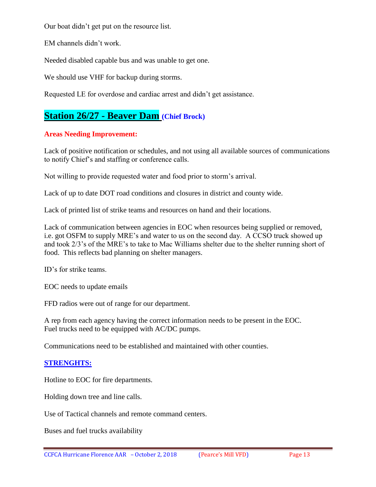Our boat didn't get put on the resource list.

EM channels didn't work.

Needed disabled capable bus and was unable to get one.

We should use VHF for backup during storms.

Requested LE for overdose and cardiac arrest and didn't get assistance.

# **Station 26/27 - Beaver Dam (Chief Brock)**

### **Areas Needing Improvement:**

Lack of positive notification or schedules, and not using all available sources of communications to notify Chief's and staffing or conference calls.

Not willing to provide requested water and food prior to storm's arrival.

Lack of up to date DOT road conditions and closures in district and county wide.

Lack of printed list of strike teams and resources on hand and their locations.

Lack of communication between agencies in EOC when resources being supplied or removed, i.e. got OSFM to supply MRE's and water to us on the second day. A CCSO truck showed up and took 2/3's of the MRE's to take to Mac Williams shelter due to the shelter running short of food. This reflects bad planning on shelter managers.

ID's for strike teams.

EOC needs to update emails

FFD radios were out of range for our department.

A rep from each agency having the correct information needs to be present in the EOC. Fuel trucks need to be equipped with AC/DC pumps.

Communications need to be established and maintained with other counties.

### **STRENGHTS:**

Hotline to EOC for fire departments.

Holding down tree and line calls.

Use of Tactical channels and remote command centers.

Buses and fuel trucks availability